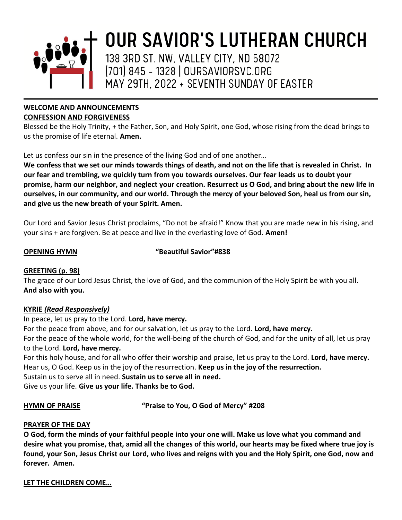

# **WELCOME AND ANNOUNCEMENTS**

### **CONFESSION AND FORGIVENESS**

Blessed be the Holy Trinity, + the Father, Son, and Holy Spirit, one God, whose rising from the dead brings to us the promise of life eternal. **Amen.** 

Let us confess our sin in the presence of the living God and of one another…

We confess that we set our minds towards things of death, and not on the life that is revealed in Christ. In our fear and trembling, we quickly turn from you towards ourselves. Our fear leads us to doubt your promise, harm our neighbor, and neglect your creation. Resurrect us O God, and bring about the new life in ourselves, in our community, and our world. Through the mercy of your beloved Son, heal us from our sin, **and give us the new breath of your Spirit. Amen.**

Our Lord and Savior Jesus Christ proclaims, "Do not be afraid!" Know that you are made new in his rising, and your sins + are forgiven. Be at peace and live in the everlasting love of God. **Amen!**

**OPENING HYMN "Beautiful Savior"#838**

# **GREETING (p. 98)**

The grace of our Lord Jesus Christ, the love of God, and the communion of the Holy Spirit be with you all. **And also with you.**

# **KYRIE** *(Read Responsively)*

In peace, let us pray to the Lord. **Lord, have mercy.** 

For the peace from above, and for our salvation, let us pray to the Lord. **Lord, have mercy.**

For the peace of the whole world, for the well-being of the church of God, and for the unity of all, let us pray to the Lord. **Lord, have mercy.**

For this holy house, and for all who offer their worship and praise, let us pray to the Lord. **Lord, have mercy.** Hear us, O God. Keep us in the joy of the resurrection. **Keep us in the joy of the resurrection.** Sustain us to serve all in need. **Sustain us to serve all in need.**

Give us your life. **Give us your life. Thanks be to God.** 

**HYMN OF PRAISE "Praise to You, O God of Mercy" #208**

# **PRAYER OF THE DAY**

**O God, form the minds of your faithful people into your one will. Make us love what you command and desire what you promise, that, amid all the changes of this world, our hearts may be fixed where true joy is found, your Son, Jesus Christ our Lord, who lives and reigns with you and the Holy Spirit, one God, now and forever. Amen.**

# **LET THE CHILDREN COME…**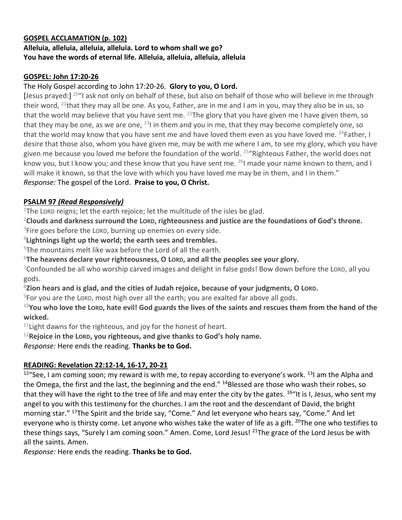### **GOSPEL ACCLAMATION (p. 102)**

# **Alleluia, alleluia, alleluia, alleluia. Lord to whom shall we go? You have the words of eternal life. Alleluia, alleluia, alleluia, alleluia**

# **GOSPEL: John 17:20-26**

# The Holy Gospel according to John 17:20-26. **Glory to you, O Lord.**

[Jesus prayed:]<sup>20</sup>"I ask not only on behalf of these, but also on behalf of those who will believe in me through their word,  $^{21}$ that they may all be one. As you, Father, are in me and I am in you, may they also be in us, so that the world may believe that you have sent me.  $^{22}$ The glory that you have given me I have given them, so that they may be one, as we are one,  $^{23}$ I in them and you in me, that they may become completely one, so that the world may know that you have sent me and have loved them even as you have loved me. <sup>24</sup>Father, I desire that those also, whom you have given me, may be with me where I am, to see my glory, which you have given me because you loved me before the foundation of the world. <sup>25</sup> "Righteous Father, the world does not know you, but I know you; and these know that you have sent me. <sup>26</sup>I made your name known to them, and I will make it known, so that the love with which you have loved me may be in them, and I in them."

# *Response:* The gospel of the Lord. **Praise to you, O Christ.**

# **PSALM 97** *(Read Responsively)*

<sup>1</sup>The LORD reigns; let the earth rejoice; let the multitude of the isles be glad.

<sup>2</sup>**Clouds and darkness surround the LORD, righteousness and justice are the foundations of God's throne.**  $3$ Fire goes before the LORD, burning up enemies on every side.

4 **Lightnings light up the world; the earth sees and trembles.**

 $5$ The mountains melt like wax before the Lord of all the earth.

<sup>6</sup>**The heavens declare your righteousness, O LORD, and all the peoples see your glory.**

<sup>7</sup>Confounded be all who worship carved images and delight in false gods! Bow down before the LORD, all you gods.

<sup>8</sup>**Zion hears and is glad, and the cities of Judah rejoice, because of your judgments, O LORD.**

 $9$ For you are the LORD, most high over all the earth; you are exalted far above all gods.

<sup>10</sup>**You who love the LORD, hate evil! God guards the lives of the saints and rescues them from the hand of the wicked.**

 $11$ Light dawns for the righteous, and joy for the honest of heart.

<sup>12</sup>**Rejoice in the LORD, you righteous, and give thanks to God's holy name.**

*Response:* Here ends the reading. **Thanks be to God.**

# **READING: Revelation 22:12-14, 16-17, 20-21**

 $12^{\circ}$ See, I am coming soon; my reward is with me, to repay according to everyone's work.  $131$  am the Alpha and the Omega, the first and the last, the beginning and the end." <sup>14</sup>Blessed are those who wash their robes, so that they will have the right to the tree of life and may enter the city by the gates. <sup>16"</sup>It is I, Jesus, who sent my angel to you with this testimony for the churches. I am the root and the descendant of David, the bright morning star." <sup>17</sup>The Spirit and the bride say, "Come." And let everyone who hears say, "Come." And let everyone who is thirsty come. Let anyone who wishes take the water of life as a gift. <sup>20</sup>The one who testifies to these things says, "Surely I am coming soon." Amen. Come, Lord Jesus! <sup>21</sup>The grace of the Lord Jesus be with all the saints. Amen.

*Response:* Here ends the reading. **Thanks be to God.**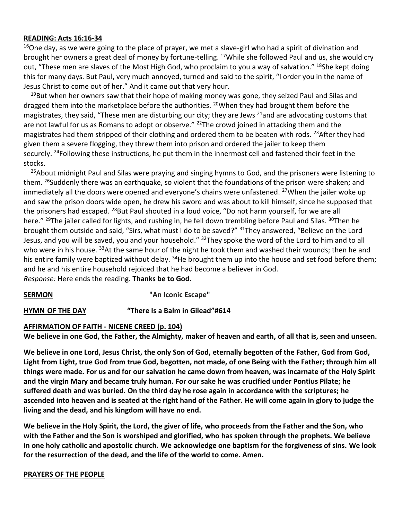#### **READING: Acts 16:16-34**

<sup>16</sup>One day, as we were going to the place of prayer, we met a slave-girl who had a spirit of divination and brought her owners a great deal of money by fortune-telling. <sup>17</sup>While she followed Paul and us, she would cry out, "These men are slaves of the Most High God, who proclaim to you a way of salvation." <sup>18</sup>She kept doing this for many days. But Paul, very much annoyed, turned and said to the spirit, "I order you in the name of Jesus Christ to come out of her." And it came out that very hour.

 $19$ But when her owners saw that their hope of making money was gone, they seized Paul and Silas and dragged them into the marketplace before the authorities. <sup>20</sup>When they had brought them before the magistrates, they said, "These men are disturbing our city; they are Jews <sup>21</sup>and are advocating customs that are not lawful for us as Romans to adopt or observe." <sup>22</sup>The crowd joined in attacking them and the magistrates had them stripped of their clothing and ordered them to be beaten with rods. <sup>23</sup>After they had given them a severe flogging, they threw them into prison and ordered the jailer to keep them securely. <sup>24</sup>Following these instructions, he put them in the innermost cell and fastened their feet in the stocks.

<sup>25</sup>About midnight Paul and Silas were praying and singing hymns to God, and the prisoners were listening to them. <sup>26</sup>Suddenly there was an earthquake, so violent that the foundations of the prison were shaken; and immediately all the doors were opened and everyone's chains were unfastened. <sup>27</sup>When the jailer woke up and saw the prison doors wide open, he drew his sword and was about to kill himself, since he supposed that the prisoners had escaped. <sup>28</sup>But Paul shouted in a loud voice, "Do not harm yourself, for we are all here." <sup>29</sup>The jailer called for lights, and rushing in, he fell down trembling before Paul and Silas. <sup>30</sup>Then he brought them outside and said, "Sirs, what must I do to be saved?" <sup>31</sup>They answered, "Believe on the Lord Jesus, and you will be saved, you and your household." <sup>32</sup>They spoke the word of the Lord to him and to all who were in his house. <sup>33</sup>At the same hour of the night he took them and washed their wounds; then he and his entire family were baptized without delay. <sup>34</sup>He brought them up into the house and set food before them; and he and his entire household rejoiced that he had become a believer in God.

*Response:* Here ends the reading. **Thanks be to God.**

# **SERMON "An Iconic Escape"**

**HYMN OF THE DAY "There Is a Balm in Gilead"#614**

#### **AFFIRMATION OF FAITH - NICENE CREED (p. 104)**

**We believe in one God, the Father, the Almighty, maker of heaven and earth, of all that is, seen and unseen.**

**We believe in one Lord, Jesus Christ, the only Son of God, eternally begotten of the Father, God from God, Light from Light, true God from true God, begotten, not made, of one Being with the Father; through him all things were made. For us and for our salvation he came down from heaven, was incarnate of the Holy Spirit and the virgin Mary and became truly human. For our sake he was crucified under Pontius Pilate; he suffered death and was buried. On the third day he rose again in accordance with the scriptures; he ascended into heaven and is seated at the right hand of the Father. He will come again in glory to judge the living and the dead, and his kingdom will have no end.**

**We believe in the Holy Spirit, the Lord, the giver of life, who proceeds from the Father and the Son, who with the Father and the Son is worshiped and glorified, who has spoken through the prophets. We believe in one holy catholic and apostolic church. We acknowledge one baptism for the forgiveness of sins. We look for the resurrection of the dead, and the life of the world to come. Amen.**

#### **PRAYERS OF THE PEOPLE**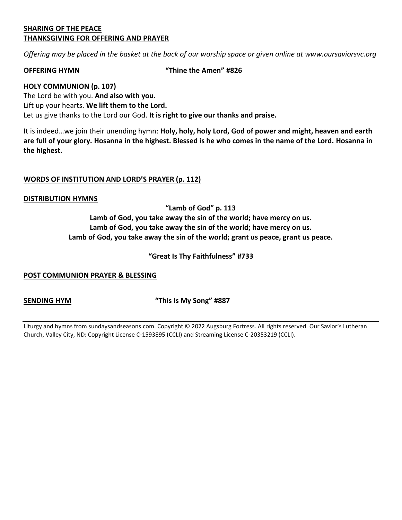#### **SHARING OF THE PEACE THANKSGIVING FOR OFFERING AND PRAYER**

*Offering may be placed in the basket at the back of our worship space or given online at www.oursaviorsvc.org*

**OFFERING HYMN "Thine the Amen" #826**

#### **HOLY COMMUNION (p. 107)**

The Lord be with you. **And also with you.** Lift up your hearts. **We lift them to the Lord.** Let us give thanks to the Lord our God. **It is right to give our thanks and praise.**

It is indeed…we join their unending hymn: **Holy, holy, holy Lord, God of power and might, heaven and earth are full of your glory. Hosanna in the highest. Blessed is he who comes in the name of the Lord. Hosanna in the highest.** 

### **WORDS OF INSTITUTION AND LORD'S PRAYER (p. 112)**

#### **DISTRIBUTION HYMNS**

**"Lamb of God" p. 113** 

**Lamb of God, you take away the sin of the world; have mercy on us. Lamb of God, you take away the sin of the world; have mercy on us. Lamb of God, you take away the sin of the world; grant us peace, grant us peace.**

**"Great Is Thy Faithfulness" #733**

#### **POST COMMUNION PRAYER & BLESSING**

**SENDING HYM "This Is My Song" #887**

Liturgy and hymns from sundaysandseasons.com. Copyright © 2022 Augsburg Fortress. All rights reserved. Our Savior's Lutheran Church, Valley City, ND: Copyright License C-1593895 (CCLI) and Streaming License C-20353219 (CCLI).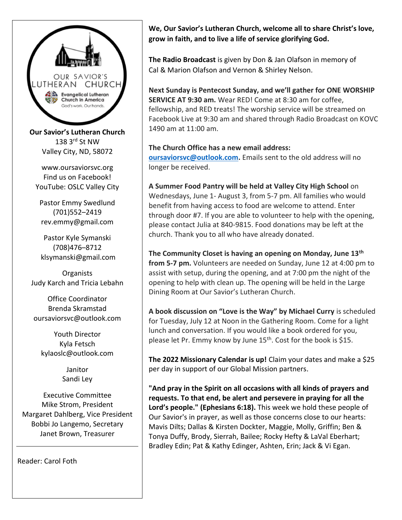

**Our Savior's Lutheran Church** 138 3rd St NW Valley City, ND, 58072

www.oursaviorsvc.org Find us on Facebook! YouTube: OSLC Valley City

Pastor Emmy Swedlund (701)552–2419 rev.emmy@gmail.com

Pastor Kyle Symanski (708)476–8712 klsymanski@gmail.com

**Organists** Judy Karch and Tricia Lebahn

Office Coordinator Brenda Skramstad oursaviorsvc@outlook.com

Youth Director Kyla Fetsch kylaoslc@outlook.com

> Janitor Sandi Ley

Executive Committee Mike Strom, President Margaret Dahlberg, Vice President Bobbi Jo Langemo, Secretary Janet Brown, Treasurer

Reader: Carol Foth

**We, Our Savior's Lutheran Church, welcome all to share Christ's love, grow in faith, and to live a life of service glorifying God.**

**The Radio Broadcast** is given by Don & Jan Olafson in memory of Cal & Marion Olafson and Vernon & Shirley Nelson.

**Next Sunday is Pentecost Sunday, and we'll gather for ONE WORSHIP SERVICE AT 9:30 am.** Wear RED! Come at 8:30 am for coffee, fellowship, and RED treats! The worship service will be streamed on Facebook Live at 9:30 am and shared through Radio Broadcast on KOVC 1490 am at 11:00 am.

### **The Church Office has a new email address:**

**[oursaviorsvc@outlook.com.](mailto:oursaviorsvc@outlook.com)** Emails sent to the old address will no longer be received.

**A Summer Food Pantry will be held at Valley City High School** on Wednesdays, June 1- August 3, from 5-7 pm. All families who would benefit from having access to food are welcome to attend. Enter through door #7. If you are able to volunteer to help with the opening, please contact Julia at 840-9815. Food donations may be left at the church. Thank you to all who have already donated.

**The Community Closet is having an opening on Monday, June 13th from 5-7 pm.** Volunteers are needed on Sunday, June 12 at 4:00 pm to assist with setup, during the opening, and at 7:00 pm the night of the opening to help with clean up. The opening will be held in the Large Dining Room at Our Savior's Lutheran Church.

**A book discussion on "Love is the Way" by Michael Curry** is scheduled for Tuesday, July 12 at Noon in the Gathering Room. Come for a light lunch and conversation. If you would like a book ordered for you, please let Pr. Emmy know by June 15<sup>th</sup>. Cost for the book is \$15.

**The 2022 Missionary Calendar is up!** Claim your dates and make a \$25 per day in support of our Global Mission partners.

**"And pray in the Spirit on all occasions with all kinds of prayers and requests. To that end, be alert and persevere in praying for all the Lord's people." (Ephesians 6:18).** This week we hold these people of Our Savior's in prayer, as well as those concerns close to our hearts: Mavis Dilts; Dallas & Kirsten Dockter, Maggie, Molly, Griffin; Ben & Tonya Duffy, Brody, Sierrah, Bailee; Rocky Hefty & LaVal Eberhart; Bradley Edin; Pat & Kathy Edinger, Ashten, Erin; Jack & Vi Egan.